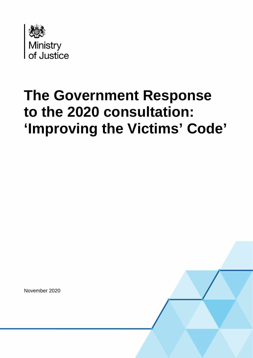

# **The Government Response to the 2020 consultation: 'Improving the Victims' Code'**

November 2020

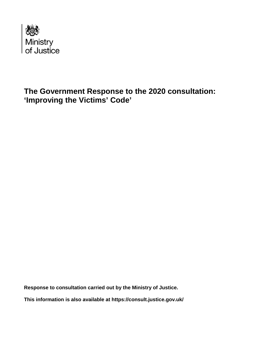

### **The Government Response to the 2020 consultation: 'Improving the Victims' Code'**

**Response to consultation carried out by the Ministry of Justice.**

**This information is also available at<https://consult.justice.gov.uk/>**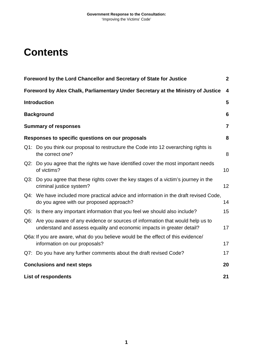### **Contents**

| Foreword by the Lord Chancellor and Secretary of State for Justice<br>$\boldsymbol{2}$ |                                                                                                                                                             |    |  |
|----------------------------------------------------------------------------------------|-------------------------------------------------------------------------------------------------------------------------------------------------------------|----|--|
|                                                                                        | Foreword by Alex Chalk, Parliamentary Under Secretary at the Ministry of Justice                                                                            |    |  |
|                                                                                        | <b>Introduction</b>                                                                                                                                         |    |  |
|                                                                                        | <b>Background</b>                                                                                                                                           |    |  |
|                                                                                        | <b>Summary of responses</b>                                                                                                                                 |    |  |
| Responses to specific questions on our proposals<br>8                                  |                                                                                                                                                             |    |  |
|                                                                                        | Q1: Do you think our proposal to restructure the Code into 12 overarching rights is<br>the correct one?                                                     | 8  |  |
|                                                                                        | Q2: Do you agree that the rights we have identified cover the most important needs<br>of victims?                                                           | 10 |  |
|                                                                                        | Q3: Do you agree that these rights cover the key stages of a victim's journey in the<br>criminal justice system?                                            | 12 |  |
|                                                                                        | Q4: We have included more practical advice and information in the draft revised Code,<br>do you agree with our proposed approach?                           | 14 |  |
|                                                                                        | Q5: Is there any important information that you feel we should also include?                                                                                | 15 |  |
|                                                                                        | Q6: Are you aware of any evidence or sources of information that would help us to<br>understand and assess equality and economic impacts in greater detail? | 17 |  |
|                                                                                        | Q6a: If you are aware, what do you believe would be the effect of this evidence/<br>information on our proposals?                                           |    |  |
|                                                                                        | Q7: Do you have any further comments about the draft revised Code?                                                                                          | 17 |  |
| <b>Conclusions and next steps</b><br>20                                                |                                                                                                                                                             |    |  |
|                                                                                        | 21<br><b>List of respondents</b>                                                                                                                            |    |  |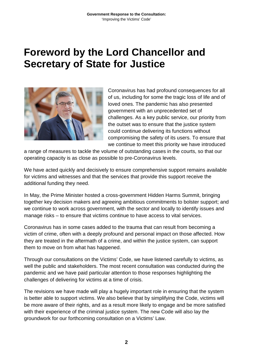### <span id="page-3-0"></span>**Foreword by the Lord Chancellor and Secretary of State for Justice**



Coronavirus has had profound consequences for all of us, including for some the tragic loss of life and of loved ones. The pandemic has also presented government with an unprecedented set of challenges. As a key public service, our priority from the outset was to ensure that the justice system could continue delivering its functions without compromising the safety of its users. To ensure that we continue to meet this priority we have introduced

a range of measures to tackle the volume of outstanding cases in the courts, so that our operating capacity is as close as possible to pre-Coronavirus levels.

We have acted quickly and decisively to ensure comprehensive support remains available for victims and witnesses and that the services that provide this support receive the additional funding they need.

In May, the Prime Minister hosted a cross-government Hidden Harms Summit, bringing together key decision makers and agreeing ambitious commitments to bolster support; and we continue to work across government, with the sector and locally to identify issues and manage risks – to ensure that victims continue to have access to vital services.

Coronavirus has in some cases added to the trauma that can result from becoming a victim of crime, often with a deeply profound and personal impact on those affected. How they are treated in the aftermath of a crime, and within the justice system, can support them to move on from what has happened.

Through our consultations on the Victims' Code, we have listened carefully to victims, as well the public and stakeholders. The most recent consultation was conducted during the pandemic and we have paid particular attention to those responses highlighting the challenges of delivering for victims at a time of crisis.

The revisions we have made will play a hugely important role in ensuring that the system is better able to support victims. We also believe that by simplifying the Code, victims will be more aware of their rights, and as a result more likely to engage and be more satisfied with their experience of the criminal justice system. The new Code will also lay the groundwork for our forthcoming consultation on a Victims' Law.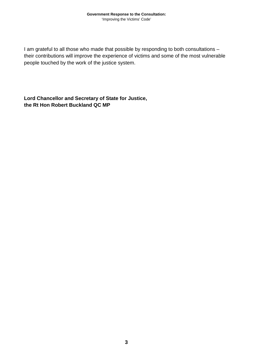I am grateful to all those who made that possible by responding to both consultations – their contributions will improve the experience of victims and some of the most vulnerable people touched by the work of the justice system.

**Lord Chancellor and Secretary of State for Justice, the Rt Hon Robert Buckland QC MP**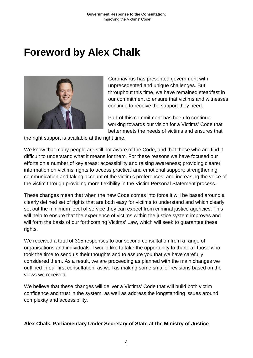## <span id="page-5-0"></span>**Foreword by Alex Chalk**



Coronavirus has presented government with unprecedented and unique challenges. But throughout this time, we have remained steadfast in our commitment to ensure that victims and witnesses continue to receive the support they need.

Part of this commitment has been to continue working towards our vision for a Victims' Code that better meets the needs of victims and ensures that

the right support is available at the right time.

We know that many people are still not aware of the Code, and that those who are find it difficult to understand what it means for them. For these reasons we have focused our efforts on a number of key areas: accessibility and raising awareness; providing clearer information on victims' rights to access practical and emotional support; strengthening communication and taking account of the victim's preferences; and increasing the voice of the victim through providing more flexibility in the Victim Personal Statement process.

These changes mean that when the new Code comes into force it will be based around a clearly defined set of rights that are both easy for victims to understand and which clearly set out the minimum level of service they can expect from criminal justice agencies. This will help to ensure that the experience of victims within the justice system improves and will form the basis of our forthcoming Victims' Law, which will seek to guarantee these rights.

We received a total of 315 responses to our second consultation from a range of organisations and individuals. I would like to take the opportunity to thank all those who took the time to send us their thoughts and to assure you that we have carefully considered them. As a result, we are proceeding as planned with the main changes we outlined in our first consultation, as well as making some smaller revisions based on the views we received.

We believe that these changes will deliver a Victims' Code that will build both victim confidence and trust in the system, as well as address the longstanding issues around complexity and accessibility.

#### **Alex Chalk, Parliamentary Under Secretary of State at the Ministry of Justice**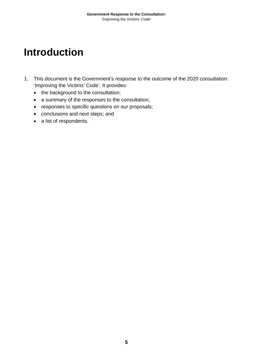## <span id="page-6-0"></span>**Introduction**

- 1. This document is the Government's response to the outcome of the 2020 consultation: 'Improving the Victims' Code'. It provides:
	- the background to the consultation;
	- a summary of the responses to the consultation;
	- responses to specific questions on our proposals;
	- conclusions and next steps; and
	- a list of respondents.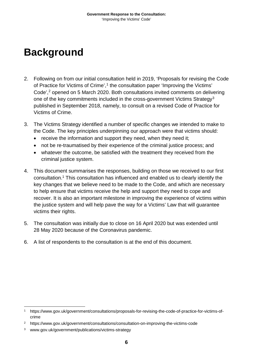# <span id="page-7-0"></span>**Background**

- 2. Following on from our initial consultation held in 2019, 'Proposals for revising the Code of Practice for Victims of Crime', [1](#page-7-1) the consultation paper 'Improving the Victims' Code', [2](#page-7-2) opened on 5 March 2020. Both consultations invited comments on delivering one of the key commitments included in the cross-government Victims Strategy<sup>[3](#page-7-3)</sup> published in September 2018, namely, to consult on a revised Code of Practice for Victims of Crime.
- 3. The Victims Strategy identified a number of specific changes we intended to make to the Code. The key principles underpinning our approach were that victims should:
	- receive the information and support they need, when they need it;
	- not be re-traumatised by their experience of the criminal justice process; and
	- whatever the outcome, be satisfied with the treatment they received from the criminal justice system.
- 4. This document summarises the responses, building on those we received to our first consultation. <sup>1</sup> This consultation has influenced and enabled us to clearly identify the key changes that we believe need to be made to the Code, and which are necessary to help ensure that victims receive the help and support they need to cope and recover. It is also an important milestone in improving the experience of victims within the justice system and will help pave the way for a Victims' Law that will guarantee victims their rights.
- 5. The consultation was initially due to close on 16 April 2020 but was extended until 28 May 2020 because of the Coronavirus pandemic.
- 6. A list of respondents to the consultation is at the end of this document.

<span id="page-7-1"></span> <sup>1</sup> [https://www.gov.uk/government/consultations/proposals-for-revising-the-code-of-practice-for-victims-of](https://www.gov.uk/government/consultations/proposals-for-revising-the-code-of-practice-for-victims-of-crime)[crime](https://www.gov.uk/government/consultations/proposals-for-revising-the-code-of-practice-for-victims-of-crime)

<span id="page-7-2"></span><sup>2</sup> <https://www.gov.uk/government/consultations/consultation-on-improving-the-victims-code>

<span id="page-7-3"></span><sup>3</sup> [www.gov.uk/government/publications/victims-strategy](http://www.gov.uk/government/publications/victims-strategy)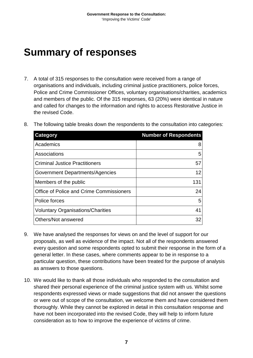## <span id="page-8-0"></span>**Summary of responses**

7. A total of 315 responses to the consultation were received from a range of organisations and individuals, including criminal justice practitioners, police forces, Police and Crime Commissioner Offices, voluntary organisations/charities, academics and members of the public. Of the 315 responses, 63 (20%) were identical in nature and called for changes to the information and rights to access Restorative Justice in the revised Code.

| <b>Category</b>                          | <b>Number of Respondents</b> |
|------------------------------------------|------------------------------|
| Academics                                | 8                            |
| Associations                             | 5                            |
| <b>Criminal Justice Practitioners</b>    | 57                           |
| Government Departments/Agencies          | 12                           |
| Members of the public                    | 131                          |
| Office of Police and Crime Commissioners | 24                           |
| Police forces                            | 5                            |
| <b>Voluntary Organisations/Charities</b> | 41                           |
| Others/Not answered                      | 32                           |
|                                          |                              |

8. The following table breaks down the respondents to the consultation into categories:

- 9. We have analysed the responses for views on and the level of support for our proposals, as well as evidence of the impact. Not all of the respondents answered every question and some respondents opted to submit their response in the form of a general letter. In these cases, where comments appear to be in response to a particular question, these contributions have been treated for the purpose of analysis as answers to those questions.
- 10. We would like to thank all those individuals who responded to the consultation and shared their personal experience of the criminal justice system with us. Whilst some respondents expressed views or made suggestions that did not answer the questions or were out of scope of the consultation, we welcome them and have considered them thoroughly. While they cannot be explored in detail in this consultation response and have not been incorporated into the revised Code, they will help to inform future consideration as to how to improve the experience of victims of crime.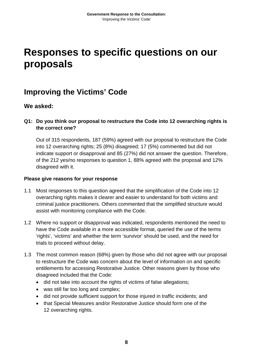### <span id="page-9-0"></span>**Responses to specific questions on our proposals**

### **Improving the Victims' Code**

#### **We asked:**

#### <span id="page-9-1"></span>**Q1: Do you think our proposal to restructure the Code into 12 overarching rights is the correct one?**

Out of 315 respondents, 187 (59%) agreed with our proposal to restructure the Code into 12 overarching rights; 25 (8%) disagreed; 17 (5%) commented but did not indicate support or disapproval and 85 (27%) did not answer the question. Therefore, of the 212 yes/no responses to question 1, 88% agreed with the proposal and 12% disagreed with it.

#### **Please give reasons for your response**

- 1.1 Most responses to this question agreed that the simplification of the Code into 12 overarching rights makes it clearer and easier to understand for both victims and criminal justice practitioners. Others commented that the simplified structure would assist with monitoring compliance with the Code.
- 1.2 Where no support or disapproval was indicated, respondents mentioned the need to have the Code available in a more accessible format, queried the use of the terms 'rights', 'victims' and whether the term 'survivor' should be used, and the need for trials to proceed without delay.
- 1.3 The most common reason (68%) given by those who did not agree with our proposal to restructure the Code was concern about the level of information on and specific entitlements for accessing Restorative Justice. Other reasons given by those who disagreed included that the Code:
	- did not take into account the rights of victims of false allegations;
	- was still far too long and complex;
	- did not provide sufficient support for those injured in traffic incidents; and
	- that Special Measures and/or Restorative Justice should form one of the 12 overarching rights.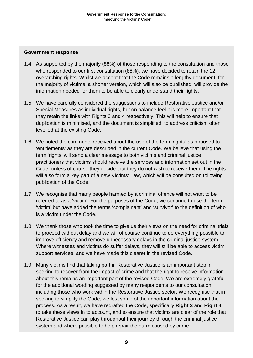#### **Government response**

- 1.4 As supported by the majority (88%) of those responding to the consultation and those who responded to our first consultation (88%), we have decided to retain the 12 overarching rights. Whilst we accept that the Code remains a lengthy document, for the majority of victims, a shorter version, which will also be published, will provide the information needed for them to be able to clearly understand their rights.
- 1.5 We have carefully considered the suggestions to include Restorative Justice and/or Special Measures as individual rights, but on balance feel it is more important that they retain the links with Rights 3 and 4 respectively. This will help to ensure that duplication is minimised, and the document is simplified, to address criticism often levelled at the existing Code.
- 1.6 We noted the comments received about the use of the term 'rights' as opposed to 'entitlements' as they are described in the current Code. We believe that using the term 'rights' will send a clear message to both victims and criminal justice practitioners that victims should receive the services and information set out in the Code, unless of course they decide that they do not wish to receive them. The rights will also form a key part of a new Victims' Law, which will be consulted on following publication of the Code.
- 1.7 We recognise that many people harmed by a criminal offence will not want to be referred to as a 'victim'. For the purposes of the Code, we continue to use the term 'victim' but have added the terms 'complainant' and 'survivor' to the definition of who is a victim under the Code.
- 1.8 We thank those who took the time to give us their views on the need for criminal trials to proceed without delay and we will of course continue to do everything possible to improve efficiency and remove unnecessary delays in the criminal justice system. Where witnesses and victims do suffer delays, they will still be able to access victim support services, and we have made this clearer in the revised Code.
- 1.9 Many victims find that taking part in Restorative Justice is an important step in seeking to recover from the impact of crime and that the right to receive information about this remains an important part of the revised Code. We are extremely grateful for the additional wording suggested by many respondents to our consultation, including those who work within the Restorative Justice sector. We recognise that in seeking to simplify the Code, we lost some of the important information about the process. As a result, we have redrafted the Code, specifically **Right 3** and **Right 4**, to take these views in to account, and to ensure that victims are clear of the role that Restorative Justice can play throughout their journey through the criminal justice system and where possible to help repair the harm caused by crime.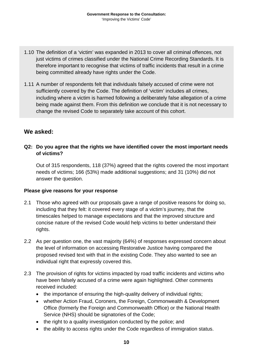- 1.10 The definition of a 'victim' was expanded in 2013 to cover all criminal offences, not just victims of crimes classified under the National Crime Recording Standards. It is therefore important to recognise that victims of traffic incidents that result in a crime being committed already have rights under the Code.
- 1.11 A number of respondents felt that individuals falsely accused of crime were not sufficiently covered by the Code. The definition of 'victim' includes all crimes, including where a victim is harmed following a deliberately false allegation of a crime being made against them. From this definition we conclude that it is not necessary to change the revised Code to separately take account of this cohort.

#### **We asked:**

#### <span id="page-11-0"></span>**Q2: Do you agree that the rights we have identified cover the most important needs of victims?**

Out of 315 respondents, 118 (37%) agreed that the rights covered the most important needs of victims; 166 (53%) made additional suggestions; and 31 (10%) did not answer the question.

#### **Please give reasons for your response**

- 2.1 Those who agreed with our proposals gave a range of positive reasons for doing so, including that they felt: it covered every stage of a victim's journey, that the timescales helped to manage expectations and that the improved structure and concise nature of the revised Code would help victims to better understand their rights.
- 2.2 As per question one, the vast majority (64%) of responses expressed concern about the level of information on accessing Restorative Justice having compared the proposed revised text with that in the existing Code. They also wanted to see an individual right that expressly covered this.
- 2.3 The provision of rights for victims impacted by road traffic incidents and victims who have been falsely accused of a crime were again highlighted. Other comments received included:
	- the importance of ensuring the high-quality delivery of individual rights;
	- whether Action Fraud, Coroners, the Foreign, Commonwealth & Development Office (formerly the Foreign and Commonwealth Office) or the National Health Service (NHS) should be signatories of the Code;
	- the right to a quality investigation conducted by the police; and
	- the ability to access rights under the Code regardless of immigration status.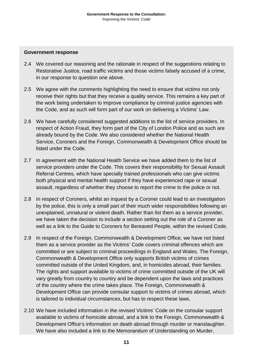#### **Government response**

- 2.4 We covered our reasoning and the rationale in respect of the suggestions relating to Restorative Justice, road traffic victims and those victims falsely accused of a crime, in our response to question one above.
- 2.5 We agree with the comments highlighting the need to ensure that victims not only receive their rights but that they receive a quality service. This remains a key part of the work being undertaken to improve compliance by criminal justice agencies with the Code, and as such will form part of our work on delivering a Victims' Law.
- 2.6 We have carefully considered suggested additions to the list of service providers. In respect of Action Fraud, they form part of the City of London Police and as such are already bound by the Code. We also considered whether the National Health Service, Coroners and the Foreign, Commonwealth & Development Office should be listed under the Code.
- 2.7 In agreement with the National Health Service we have added them to the list of service providers under the Code. This covers their responsibility for Sexual Assault Referral Centres, which have specially trained professionals who can give victims both physical and mental health support if they have experienced rape or sexual assault, regardless of whether they choose to report the crime to the police or not.
- 2.8 In respect of Coroners, whilst an inquest by a Coroner could lead to an investigation by the police, this is only a small part of their much wider responsibilities following an unexplained, unnatural or violent death. Rather than list them as a service provider, we have taken the decision to include a section setting out the role of a Coroner as well as a link to the Guide to Coroners for Bereaved People, within the revised Code.
- 2.9 In respect of the Foreign, Commonwealth & Development Office, we have not listed them as a service provider as the Victims' Code covers criminal offences which are committed or are subject to criminal proceedings in England and Wales. The Foreign, Commonwealth & Development Office only supports British victims of crimes committed outside of the United Kingdom, and, in homicides abroad, their families. The rights and support available to victims of crime committed outside of the UK will vary greatly from country to country and be dependent upon the laws and practices of the country where the crime takes place. The Foreign, Commonwealth & Development Office can provide consular support to victims of crimes abroad, which is tailored to individual circumstances, but has to respect these laws.
- 2.10 We have included information in the revised Victims' Code on the consular support available to victims of homicide abroad, and a link to the Foreign, Commonwealth & Development Office's information on death abroad through murder or manslaughter. We have also included a link to the Memorandum of Understanding on Murder,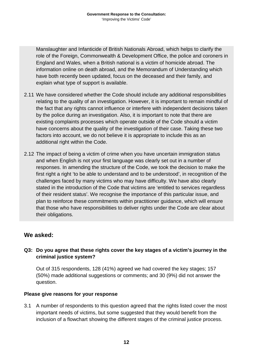Manslaughter and Infanticide of British Nationals Abroad, which helps to clarify the role of the Foreign, Commonwealth & Development Office, the police and coroners in England and Wales, when a British national is a victim of homicide abroad. The information online on death abroad, and the Memorandum of Understanding which have both recently been updated, focus on the deceased and their family, and explain what type of support is available.

- 2.11 We have considered whether the Code should include any additional responsibilities relating to the quality of an investigation. However, it is important to remain mindful of the fact that any rights cannot influence or interfere with independent decisions taken by the police during an investigation. Also, it is important to note that there are existing complaints processes which operate outside of the Code should a victim have concerns about the quality of the investigation of their case. Taking these two factors into account, we do not believe it is appropriate to include this as an additional right within the Code.
- 2.12 The impact of being a victim of crime when you have uncertain immigration status and when English is not your first language was clearly set out in a number of responses. In amending the structure of the Code, we took the decision to make the first right a right 'to be able to understand and to be understood', in recognition of the challenges faced by many victims who may have difficulty. We have also clearly stated in the introduction of the Code that victims are 'entitled to services regardless of their resident status'. We recognise the importance of this particular issue, and plan to reinforce these commitments within practitioner guidance, which will ensure that those who have responsibilities to deliver rights under the Code are clear about their obligations.

#### **We asked:**

#### <span id="page-13-0"></span>**Q3: Do you agree that these rights cover the key stages of a victim's journey in the criminal justice system?**

Out of 315 respondents, 128 (41%) agreed we had covered the key stages; 157 (50%) made additional suggestions or comments; and 30 (9%) did not answer the question.

#### **Please give reasons for your response**

3.1 A number of respondents to this question agreed that the rights listed cover the most important needs of victims, but some suggested that they would benefit from the inclusion of a flowchart showing the different stages of the criminal justice process.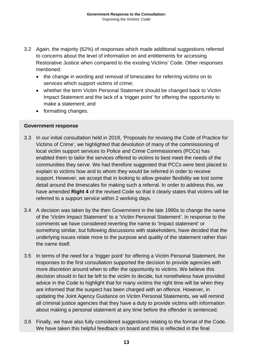- 3.2 Again, the majority (62%) of responses which made additional suggestions referred to concerns about the level of information on and entitlements for accessing Restorative Justice when compared to the existing Victims' Code. Other responses mentioned:
	- the change in wording and removal of timescales for referring victims on to services which support victims of crime;
	- whether the term Victim Personal Statement should be changed back to Victim Impact Statement and the lack of a 'trigger point' for offering the opportunity to make a statement; and
	- formatting changes.

#### **Government response**

- 3.3 In our initial consultation held in 2019, 'Proposals for revising the Code of Practice for Victims of Crime', we highlighted that devolution of many of the commissioning of local victim support services to Police and Crime Commissioners (PCCs) has enabled them to tailor the services offered to victims to best meet the needs of the communities they serve. We had therefore suggested that PCCs were best placed to explain to victims how and to whom they would be referred in order to receive support. However, we accept that in looking to allow greater flexibility we lost some detail around the timescales for making such a referral. In order to address this, we have amended **Right 4** of the revised Code so that it clearly states that victims will be referred to a support service within 2 working days.
- 3.4 A decision was taken by the then Government in the late 1990s to change the name of the 'Victim Impact Statement' to a 'Victim Personal Statement'. In response to the comments we have considered reverting the name to 'Impact statement' or something similar, but following discussions with stakeholders, have decided that the underlying issues relate more to the purpose and quality of the statement rather than the name itself.
- 3.5 In terms of the need for a 'trigger point' for offering a Victim Personal Statement, the responses to the first consultation supported the decision to provide agencies with more discretion around when to offer the opportunity to victims. We believe this decision should in fact be left to the victim to decide, but nonetheless have provided advice in the Code to highlight that for many victims the right time will be when they are informed that the suspect has been charged with an offence. However, in updating the Joint Agency Guidance on Victim Personal Statements, we will remind all criminal justice agencies that they have a duty to provide victims with information about making a personal statement at any time before the offender is sentenced.
- 3.6 Finally, we have also fully considered suggestions relating to the format of the Code. We have taken this helpful feedback on board and this is reflected in the final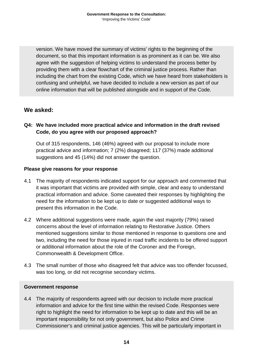version. We have moved the summary of victims' rights to the beginning of the document, so that this important information is as prominent as it can be. We also agree with the suggestion of helping victims to understand the process better by providing them with a clear flowchart of the criminal justice process. Rather than including the chart from the existing Code, which we have heard from stakeholders is confusing and unhelpful, we have decided to include a new version as part of our online information that will be published alongside and in support of the Code.

#### **We asked:**

#### <span id="page-15-0"></span>**Q4: We have included more practical advice and information in the draft revised Code, do you agree with our proposed approach?**

Out of 315 respondents, 146 (46%) agreed with our proposal to include more practical advice and information; 7 (2%) disagreed; 117 (37%) made additional suggestions and 45 (14%) did not answer the question.

#### **Please give reasons for your response**

- 4.1 The majority of respondents indicated support for our approach and commented that it was important that victims are provided with simple, clear and easy to understand practical information and advice. Some caveated their responses by highlighting the need for the information to be kept up to date or suggested additional ways to present this information in the Code.
- 4.2 Where additional suggestions were made, again the vast majority (79%) raised concerns about the level of information relating to Restorative Justice. Others mentioned suggestions similar to those mentioned in response to questions one and two, including the need for those injured in road traffic incidents to be offered support or additional information about the role of the Coroner and the Foreign, Commonwealth & Development Office.
- 4.3 The small number of those who disagreed felt that advice was too offender focussed, was too long, or did not recognise secondary victims.

#### **Government response**

4.4 The majority of respondents agreed with our decision to include more practical information and advice for the first time within the revised Code. Responses were right to highlight the need for information to be kept up to date and this will be an important responsibility for not only government, but also Police and Crime Commissioner's and criminal justice agencies. This will be particularly important in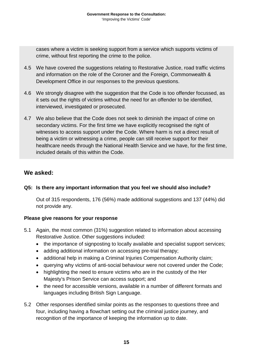cases where a victim is seeking support from a service which supports victims of crime, without first reporting the crime to the police.

- 4.5 We have covered the suggestions relating to Restorative Justice, road traffic victims and information on the role of the Coroner and the Foreign, Commonwealth & Development Office in our responses to the previous questions.
- 4.6 We strongly disagree with the suggestion that the Code is too offender focussed, as it sets out the rights of victims without the need for an offender to be identified, interviewed, investigated or prosecuted.
- 4.7 We also believe that the Code does not seek to diminish the impact of crime on secondary victims. For the first time we have explicitly recognised the right of witnesses to access support under the Code. Where harm is not a direct result of being a victim or witnessing a crime, people can still receive support for their healthcare needs through the National Health Service and we have, for the first time, included details of this within the Code.

#### **We asked:**

#### <span id="page-16-0"></span>**Q5: Is there any important information that you feel we should also include?**

Out of 315 respondents, 176 (56%) made additional suggestions and 137 (44%) did not provide any.

#### **Please give reasons for your response**

- 5.1 Again, the most common (31%) suggestion related to information about accessing Restorative Justice. Other suggestions included:
	- the importance of signposting to locally available and specialist support services;
	- adding additional information on accessing pre-trial therapy;
	- additional help in making a Criminal Injuries Compensation Authority claim;
	- querying why victims of anti-social behaviour were not covered under the Code;
	- highlighting the need to ensure victims who are in the custody of the Her Majesty's Prison Service can access support; and
	- the need for accessible versions, available in a number of different formats and languages including British Sign Language.
- 5.2 Other responses identified similar points as the responses to questions three and four, including having a flowchart setting out the criminal justice journey, and recognition of the importance of keeping the information up to date.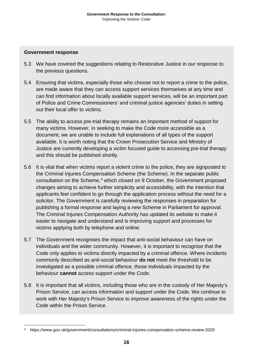#### **Government response**

- 5.3 We have covered the suggestions relating to Restorative Justice in our response to the previous questions.
- 5.4 Ensuring that victims, especially those who choose not to report a crime to the police, are made aware that they can access support services themselves at any time and can find information about locally available support services, will be an important part of Police and Crime Commissioners' and criminal justice agencies' duties in setting out their local offer to victims.
- 5.5 The ability to access pre-trial therapy remains an important method of support for many victims. However, in seeking to make the Code more accessible as a document, we are unable to include full explanations of all types of the support available. It is worth noting that the Crown Prosecution Service and Ministry of Justice are currently developing a victim focused guide to accessing pre-trial therapy and this should be published shortly.
- 5.6 It is vital that when victims report a violent crime to the police, they are signposted to the Criminal Injuries Compensation Scheme (the Scheme). In the separate public consultation on the Scheme, [4](#page-17-0) which closed on 9 October, the Government proposed changes aiming to achieve further simplicity and accessibility, with the intention that applicants feel confident to go through the application process without the need for a solicitor. The Government is carefully reviewing the responses in preparation for publishing a formal response and laying a new Scheme in Parliament for approval. The Criminal Injuries Compensation Authority has updated its website to make it easier to navigate and understand and is improving support and processes for victims applying both by telephone and online.
- 5.7 The Government recognises the impact that anti-social behaviour can have on individuals and the wider community. However, it is important to recognise that the Code only applies to victims directly impacted by a criminal offence. Where incidents commonly described as anti-social behaviour **do not** meet the threshold to be investigated as a possible criminal offence, those individuals impacted by the behaviour **cannot** access support under the Code.
- 5.8 It is important that all victims, including those who are in the custody of Her Majesty's Prison Service, can access information and support under the Code. We continue to work with Her Majesty's Prison Service to improve awareness of the rights under the Code within the Prison Service.

<span id="page-17-0"></span> <sup>4</sup> <https://www.gov.uk/government/consultations/criminal-injuries-compensation-scheme-review-2020>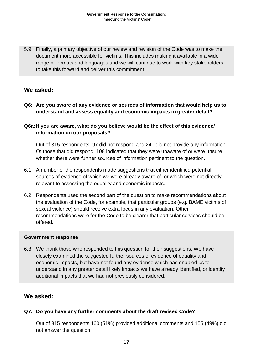5.9 Finally, a primary objective of our review and revision of the Code was to make the document more accessible for victims. This includes making it available in a wide range of formats and languages and we will continue to work with key stakeholders to take this forward and deliver this commitment.

#### **We asked:**

<span id="page-18-0"></span>**Q6: Are you aware of any evidence or sources of information that would help us to understand and assess equality and economic impacts in greater detail?**

#### <span id="page-18-1"></span>**Q6a:If you are aware, what do you believe would be the effect of this evidence/ information on our proposals?**

Out of 315 respondents, 97 did not respond and 241 did not provide any information. Of those that did respond, 108 indicated that they were unaware of or were unsure whether there were further sources of information pertinent to the question.

- 6.1 A number of the respondents made suggestions that either identified potential sources of evidence of which we were already aware of, or which were not directly relevant to assessing the equality and economic impacts.
- 6.2 Respondents used the second part of the question to make recommendations about the evaluation of the Code, for example, that particular groups (e.g. BAME victims of sexual violence) should receive extra focus in any evaluation. Other recommendations were for the Code to be clearer that particular services should be offered.

#### **Government response**

6.3 We thank those who responded to this question for their suggestions. We have closely examined the suggested further sources of evidence of equality and economic impacts, but have not found any evidence which has enabled us to understand in any greater detail likely impacts we have already identified, or identify additional impacts that we had not previously considered.

#### **We asked:**

#### <span id="page-18-2"></span>**Q7: Do you have any further comments about the draft revised Code?**

Out of 315 respondents,160 (51%) provided additional comments and 155 (49%) did not answer the question.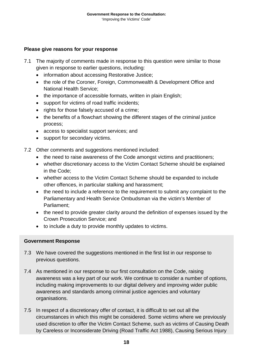#### **Please give reasons for your response**

- 7.1 The majority of comments made in response to this question were similar to those given in response to earlier questions, including:
	- information about accessing Restorative Justice;
	- the role of the Coroner, Foreign, Commonwealth & Development Office and National Health Service;
	- the importance of accessible formats, written in plain English;
	- support for victims of road traffic incidents;
	- rights for those falsely accused of a crime;
	- the benefits of a flowchart showing the different stages of the criminal justice process;
	- access to specialist support services; and
	- support for secondary victims.
- 7.2 Other comments and suggestions mentioned included:
	- the need to raise awareness of the Code amongst victims and practitioners;
	- whether discretionary access to the Victim Contact Scheme should be explained in the Code;
	- whether access to the Victim Contact Scheme should be expanded to include other offences, in particular stalking and harassment;
	- the need to include a reference to the requirement to submit any complaint to the Parliamentary and Health Service Ombudsman via the victim's Member of Parliament;
	- the need to provide greater clarity around the definition of expenses issued by the Crown Prosecution Service; and
	- to include a duty to provide monthly updates to victims.

#### **Government Response**

- 7.3 We have covered the suggestions mentioned in the first list in our response to previous questions.
- 7.4 As mentioned in our response to our first consultation on the Code, raising awareness was a key part of our work. We continue to consider a number of options, including making improvements to our digital delivery and improving wider public awareness and standards among criminal justice agencies and voluntary organisations.
- 7.5 In respect of a discretionary offer of contact, it is difficult to set out all the circumstances in which this might be considered. Some victims where we previously used discretion to offer the Victim Contact Scheme, such as victims of Causing Death by Careless or Inconsiderate Driving (Road Traffic Act 1988), Causing Serious Injury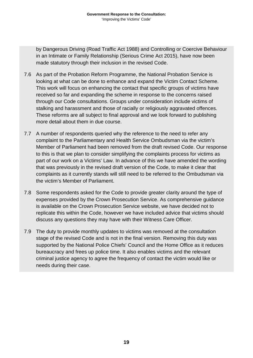by Dangerous Driving (Road Traffic Act 1988) and Controlling or Coercive Behaviour in an Intimate or Family Relationship (Serious Crime Act 2015), have now been made statutory through their inclusion in the revised Code.

- 7.6 As part of the Probation Reform Programme, the National Probation Service is looking at what can be done to enhance and expand the Victim Contact Scheme. This work will focus on enhancing the contact that specific groups of victims have received so far and expanding the scheme in response to the concerns raised through our Code consultations. Groups under consideration include victims of stalking and harassment and those of racially or religiously aggravated offences. These reforms are all subject to final approval and we look forward to publishing more detail about them in due course.
- 7.7 A number of respondents queried why the reference to the need to refer any complaint to the Parliamentary and Health Service Ombudsman via the victim's Member of Parliament had been removed from the draft revised Code. Our response to this is that we plan to consider simplifying the complaints process for victims as part of our work on a Victims' Law. In advance of this we have amended the wording that was previously in the revised draft version of the Code, to make it clear that complaints as it currently stands will still need to be referred to the Ombudsman via the victim's Member of Parliament.
- 7.8 Some respondents asked for the Code to provide greater clarity around the type of expenses provided by the Crown Prosecution Service. As comprehensive guidance is available on the Crown Prosecution Service website, we have decided not to replicate this within the Code, however we have included advice that victims should discuss any questions they may have with their Witness Care Officer.
- 7.9 The duty to provide monthly updates to victims was removed at the consultation stage of the revised Code and is not in the final version. Removing this duty was supported by the National Police Chiefs' Council and the Home Office as it reduces bureaucracy and frees up police time. It also enables victims and the relevant criminal justice agency to agree the frequency of contact the victim would like or needs during their case.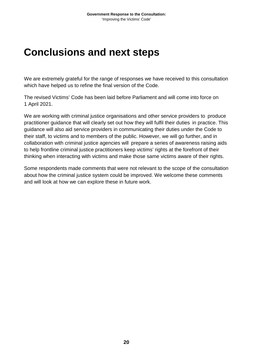### <span id="page-21-0"></span>**Conclusions and next steps**

We are extremely grateful for the range of responses we have received to this consultation which have helped us to refine the final version of the Code.

The revised Victims' Code has been laid before Parliament and will come into force on 1 April 2021.

We are working with criminal justice organisations and other service providers to produce practitioner guidance that will clearly set out how they will fulfil their duties in practice. This guidance will also aid service providers in communicating their duties under the Code to their staff, to victims and to members of the public. However, we will go further, and in collaboration with criminal justice agencies will prepare a series of awareness raising aids to help frontline criminal justice practitioners keep victims' rights at the forefront of their thinking when interacting with victims and make those same victims aware of their rights.

Some respondents made comments that were not relevant to the scope of the consultation about how the criminal justice system could be improved. We welcome these comments and will look at how we can explore these in future work.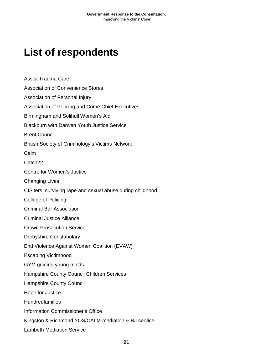## <span id="page-22-0"></span>**List of respondents**

Assist Trauma Care Association of Convenience Stores Association of Personal Injury Association of Policing and Crime Chief Executives Birmingham and Solihull Women's Aid Blackburn with Darwen Youth Justice Service Brent Council British Society of Criminology's Victims Network Calm Catch<sub>22</sub> Centre for Women's Justice Changing Lives CIS'ters: surviving rape and sexual abuse during childhood College of Policing Criminal Bar Association Criminal Justice Alliance Crown Prosecution Service Derbyshire Constabulary End Violence Against Women Coalition (EVAW) Escaping Victimhood GYM guiding young minds Hampshire County Council Children Services Hampshire County Council Hope for Justice Hundredfamilies Information Commissioner's Office Kingston & Richmond YOS/CALM mediation & RJ service Lambeth Mediation Service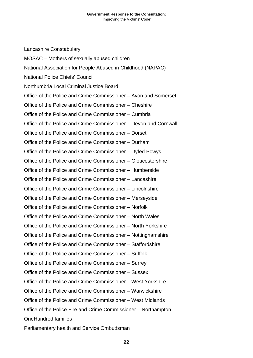Lancashire Constabulary MOSAC – Mothers of sexually abused children National Association for People Abused in Childhood (NAPAC) National Police Chiefs' Council Northumbria Local Criminal Justice Board Office of the Police and Crime Commissioner – Avon and Somerset Office of the Police and Crime Commissioner – Cheshire Office of the Police and Crime Commissioner – Cumbria Office of the Police and Crime Commissioner – Devon and Cornwall Office of the Police and Crime Commissioner – Dorset Office of the Police and Crime Commissioner – Durham Office of the Police and Crime Commissioner – Dyfed Powys Office of the Police and Crime Commissioner – Gloucestershire Office of the Police and Crime Commissioner – Humberside Office of the Police and Crime Commissioner – Lancashire Office of the Police and Crime Commissioner – Lincolnshire Office of the Police and Crime Commissioner – Merseyside Office of the Police and Crime Commissioner – Norfolk Office of the Police and Crime Commissioner – North Wales Office of the Police and Crime Commissioner – North Yorkshire Office of the Police and Crime Commissioner – Nottinghamshire Office of the Police and Crime Commissioner – Staffordshire Office of the Police and Crime Commissioner – Suffolk Office of the Police and Crime Commissioner – Surrey Office of the Police and Crime Commissioner – Sussex Office of the Police and Crime Commissioner – West Yorkshire Office of the Police and Crime Commissioner – Warwickshire Office of the Police and Crime Commissioner – West Midlands Office of the Police Fire and Crime Commissioner – Northampton OneHundred families Parliamentary health and Service Ombudsman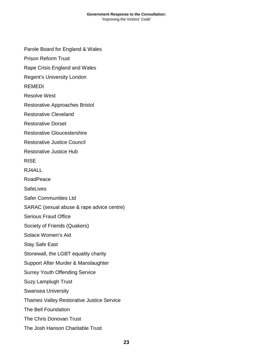Parole Board for England & Wales

Prison Reform Trust

Rape Crisis England and Wales

Regent's University London

REMEDI

Resolve West

Restorative Approaches Bristol

Restorative Cleveland

Restorative Dorset

Restorative Gloucestershire

Restorative Justice Council

Restorative Justice Hub

RISE

RJ4ALL

RoadPeace

**SafeLives** 

Safer Communities Ltd

SARAC (sexual abuse & rape advice centre)

Serious Fraud Office

Society of Friends (Quakers)

Solace Women's Aid

Stay Safe East

Stonewall, the LGBT equality charity

Support After Murder & Manslaughter

Surrey Youth Offending Service

Suzy Lamplugh Trust

Swansea University

Thames Valley Restorative Justice Service

The Bell Foundation

The Chris Donovan Trust

The Josh Hanson Charitable Trust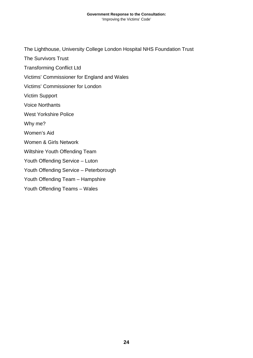The Lighthouse, University College London Hospital NHS Foundation Trust

The Survivors Trust

Transforming Conflict Ltd

Victims' Commissioner for England and Wales

Victims' Commissioner for London

Victim Support

Voice Northants

West Yorkshire Police

Why me?

Women's Aid

Women & Girls Network

Wiltshire Youth Offending Team

Youth Offending Service – Luton

Youth Offending Service – Peterborough

Youth Offending Team – Hampshire

Youth Offending Teams – Wales